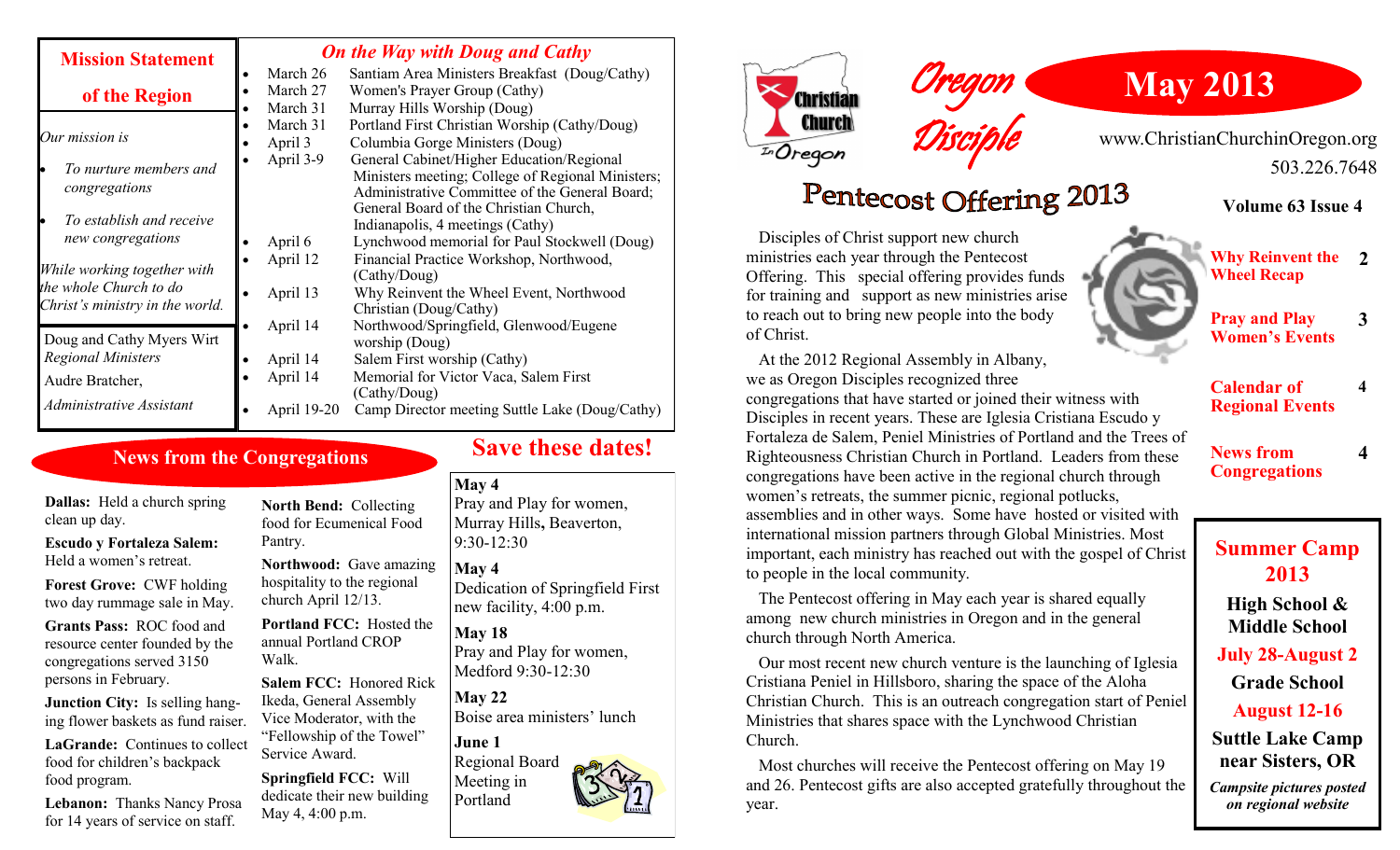| <b>Mission Statement</b>                                  | <b>On the Way with Doug and Cathy</b> |                                                                                                                                                  |
|-----------------------------------------------------------|---------------------------------------|--------------------------------------------------------------------------------------------------------------------------------------------------|
|                                                           | March 26                              | Santiam Area Ministers Breakfast (Doug/Cathy)                                                                                                    |
| of the Region                                             | March 27                              | Women's Prayer Group (Cathy)                                                                                                                     |
|                                                           | March 31                              | Murray Hills Worship (Doug)                                                                                                                      |
| Our mission is                                            | March 31                              | Portland First Christian Worship (Cathy/Doug)                                                                                                    |
|                                                           | April 3                               | Columbia Gorge Ministers (Doug)                                                                                                                  |
| To nurture members and<br>congregations                   | April 3-9                             | General Cabinet/Higher Education/Regional<br>Ministers meeting; College of Regional Ministers;<br>Administrative Committee of the General Board; |
| To establish and receive                                  |                                       | General Board of the Christian Church,<br>Indianapolis, 4 meetings (Cathy)                                                                       |
| new congregations                                         | April 6                               | Lynchwood memorial for Paul Stockwell (Doug)                                                                                                     |
| While working together with                               | April 12                              | Financial Practice Workshop, Northwood,<br>(Cathy/Doug)                                                                                          |
| the whole Church to do<br>Christ's ministry in the world. | April 13                              | Why Reinvent the Wheel Event, Northwood<br>Christian (Doug/Cathy)                                                                                |
| Doug and Cathy Myers Wirt                                 | April 14                              | Northwood/Springfield, Glenwood/Eugene<br>worship (Doug)                                                                                         |
| <b>Regional Ministers</b>                                 | April 14                              | Salem First worship (Cathy)                                                                                                                      |
| Audre Bratcher,                                           | April 14                              | Memorial for Victor Vaca, Salem First<br>(Cathy/Doug)                                                                                            |
| Administrative Assistant                                  | April 19-20                           | Camp Director meeting Suttle Lake (Doug/Cathy)                                                                                                   |

### **News from the Congregations**

**Dallas:** Held a church spring clean up day.

**Escudo y Fortaleza Salem:**  Held a women's retreat.

**Forest Grove:** CWF holding two day rummage sale in May.

**Grants Pass:** ROC food and resource center founded by the congregations served 3150 persons in February.

**Junction City:** Is selling hanging flower baskets as fund raiser.

LaGrande: Continues to collect food for children's backpack food program.

**Lebanon:** Thanks Nancy Prosa for 14 years of service on staff.

**North Bend:** Collecting food for Ecumenical Food Pantry.

**Northwood:** Gave amazing hospitality to the regional church April 12/13.

**Portland FCC:** Hosted the annual Portland CROP Walk.

**Salem FCC:** Honored Rick Ikeda, General Assembly Vice Moderator, with the "Fellowship of the Towel" Service Award.

**Springfield FCC:** Will dedicate their new building May 4, 4:00 p.m.

### **Save these dates!**

### **May 4**

Pray and Play for women, Murray Hills**,** Beaverton, 9:30-12:30

#### **May 4** Dedication of Springfield First

new facility, 4:00 p.m.

**May 18** Pray and Play for women, Medford 9:30-12:30

**May 22** Boise area ministers' lunch

**June 1**

Regional Board Meeting in Portland



# **May 2013**

www.ChristianChurchinOregon.org 503.226.7648

## Pentecost Offering 2013

Disciple

Oregon

 Disciples of Christ support new church ministries each year through the Pentecost Offering. This special offering provides funds for training and support as new ministries arise to reach out to bring new people into the body of Christ.

 At the 2012 Regional Assembly in Albany, we as Oregon Disciples recognized three congregations that have started or joined their witness with Disciples in recent years. These are Iglesia Cristiana Escudo y Fortaleza de Salem, Peniel Ministries of Portland and the Trees of Righteousness Christian Church in Portland. Leaders from these congregations have been active in the regional church through women's retreats, the summer picnic, regional potlucks, assemblies and in other ways. Some have hosted or visited with international mission partners through Global Ministries. Most important, each ministry has reached out with the gospel of Christ to people in the local community.

 The Pentecost offering in May each year is shared equally among new church ministries in Oregon and in the general church through North America.

 Our most recent new church venture is the launching of Iglesia Cristiana Peniel in Hillsboro, sharing the space of the Aloha Christian Church. This is an outreach congregation start of Peniel Ministries that shares space with the Lynchwood Christian Church.

 Most churches will receive the Pentecost offering on May 19 and 26. Pentecost gifts are also accepted gratefully throughout the year.

**Volume 63 Issue 4**

**Why Reinvent the 2 Wheel Recap**

**Pray and Play Women's Events**

**3**

**4**

**4**

**Calendar of Regional Events**

**News from Congregations**

**Summer Camp 2013**

**High School & Middle School** 

**July 28-August 2**

**Grade School**

**August 12-16**

**Suttle Lake Camp near Sisters, OR**

*Campsite pictures posted on regional website*